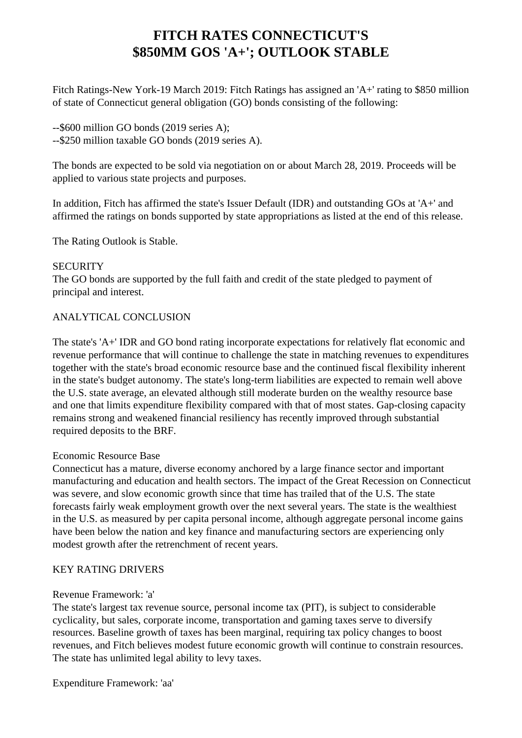# **FITCH RATES CONNECTICUT'S \$850MM GOS 'A+'; OUTLOOK STABLE**

 Fitch Ratings-New York-19 March 2019: Fitch Ratings has assigned an 'A+' rating to \$850 million of state of Connecticut general obligation (GO) bonds consisting of the following:

 --\$600 million GO bonds (2019 series A); --\$250 million taxable GO bonds (2019 series A).

 The bonds are expected to be sold via negotiation on or about March 28, 2019. Proceeds will be applied to various state projects and purposes.

 In addition, Fitch has affirmed the state's Issuer Default (IDR) and outstanding GOs at 'A+' and affirmed the ratings on bonds supported by state appropriations as listed at the end of this release.

The Rating Outlook is Stable.

#### **SECURITY**

 The GO bonds are supported by the full faith and credit of the state pledged to payment of principal and interest.

# ANALYTICAL CONCLUSION

 The state's 'A+' IDR and GO bond rating incorporate expectations for relatively flat economic and revenue performance that will continue to challenge the state in matching revenues to expenditures together with the state's broad economic resource base and the continued fiscal flexibility inherent in the state's budget autonomy. The state's long-term liabilities are expected to remain well above the U.S. state average, an elevated although still moderate burden on the wealthy resource base and one that limits expenditure flexibility compared with that of most states. Gap-closing capacity remains strong and weakened financial resiliency has recently improved through substantial required deposits to the BRF.

# Economic Resource Base

 Connecticut has a mature, diverse economy anchored by a large finance sector and important manufacturing and education and health sectors. The impact of the Great Recession on Connecticut was severe, and slow economic growth since that time has trailed that of the U.S. The state forecasts fairly weak employment growth over the next several years. The state is the wealthiest in the U.S. as measured by per capita personal income, although aggregate personal income gains have been below the nation and key finance and manufacturing sectors are experiencing only modest growth after the retrenchment of recent years.

# KEY RATING DRIVERS

#### Revenue Framework: 'a'

 The state's largest tax revenue source, personal income tax (PIT), is subject to considerable cyclicality, but sales, corporate income, transportation and gaming taxes serve to diversify resources. Baseline growth of taxes has been marginal, requiring tax policy changes to boost revenues, and Fitch believes modest future economic growth will continue to constrain resources. The state has unlimited legal ability to levy taxes.

Expenditure Framework: 'aa'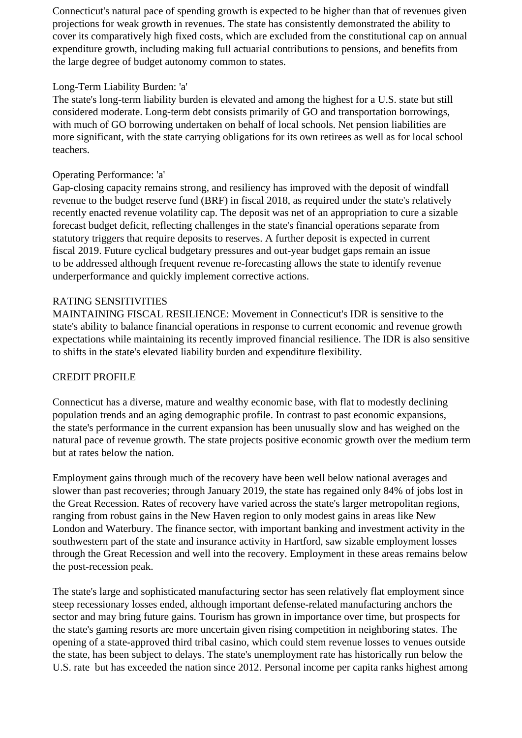Connecticut's natural pace of spending growth is expected to be higher than that of revenues given projections for weak growth in revenues. The state has consistently demonstrated the ability to cover its comparatively high fixed costs, which are excluded from the constitutional cap on annual expenditure growth, including making full actuarial contributions to pensions, and benefits from the large degree of budget autonomy common to states.

# Long-Term Liability Burden: 'a'

 The state's long-term liability burden is elevated and among the highest for a U.S. state but still considered moderate. Long-term debt consists primarily of GO and transportation borrowings, with much of GO borrowing undertaken on behalf of local schools. Net pension liabilities are more significant, with the state carrying obligations for its own retirees as well as for local school teachers.

## Operating Performance: 'a'

 Gap-closing capacity remains strong, and resiliency has improved with the deposit of windfall revenue to the budget reserve fund (BRF) in fiscal 2018, as required under the state's relatively recently enacted revenue volatility cap. The deposit was net of an appropriation to cure a sizable forecast budget deficit, reflecting challenges in the state's financial operations separate from statutory triggers that require deposits to reserves. A further deposit is expected in current fiscal 2019. Future cyclical budgetary pressures and out-year budget gaps remain an issue to be addressed although frequent revenue re-forecasting allows the state to identify revenue underperformance and quickly implement corrective actions.

#### RATING SENSITIVITIES

 MAINTAINING FISCAL RESILIENCE: Movement in Connecticut's IDR is sensitive to the state's ability to balance financial operations in response to current economic and revenue growth expectations while maintaining its recently improved financial resilience. The IDR is also sensitive to shifts in the state's elevated liability burden and expenditure flexibility.

# CREDIT PROFILE

 Connecticut has a diverse, mature and wealthy economic base, with flat to modestly declining population trends and an aging demographic profile. In contrast to past economic expansions, the state's performance in the current expansion has been unusually slow and has weighed on the natural pace of revenue growth. The state projects positive economic growth over the medium term but at rates below the nation.

 Employment gains through much of the recovery have been well below national averages and slower than past recoveries; through January 2019, the state has regained only 84% of jobs lost in the Great Recession. Rates of recovery have varied across the state's larger metropolitan regions, ranging from robust gains in the New Haven region to only modest gains in areas like New London and Waterbury. The finance sector, with important banking and investment activity in the southwestern part of the state and insurance activity in Hartford, saw sizable employment losses through the Great Recession and well into the recovery. Employment in these areas remains below the post-recession peak.

 The state's large and sophisticated manufacturing sector has seen relatively flat employment since steep recessionary losses ended, although important defense-related manufacturing anchors the sector and may bring future gains. Tourism has grown in importance over time, but prospects for the state's gaming resorts are more uncertain given rising competition in neighboring states. The opening of a state-approved third tribal casino, which could stem revenue losses to venues outside the state, has been subject to delays. The state's unemployment rate has historically run below the U.S. rate but has exceeded the nation since 2012. Personal income per capita ranks highest among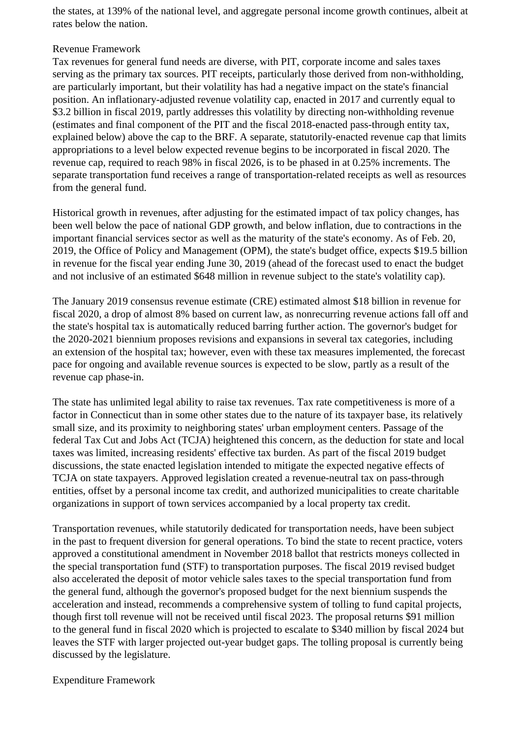the states, at 139% of the national level, and aggregate personal income growth continues, albeit at rates below the nation.

#### Revenue Framework

 Tax revenues for general fund needs are diverse, with PIT, corporate income and sales taxes serving as the primary tax sources. PIT receipts, particularly those derived from non-withholding, are particularly important, but their volatility has had a negative impact on the state's financial position. An inflationary-adjusted revenue volatility cap, enacted in 2017 and currently equal to \$3.2 billion in fiscal 2019, partly addresses this volatility by directing non-withholding revenue (estimates and final component of the PIT and the fiscal 2018-enacted pass-through entity tax, explained below) above the cap to the BRF. A separate, statutorily-enacted revenue cap that limits appropriations to a level below expected revenue begins to be incorporated in fiscal 2020. The revenue cap, required to reach 98% in fiscal 2026, is to be phased in at 0.25% increments. The separate transportation fund receives a range of transportation-related receipts as well as resources from the general fund.

 Historical growth in revenues, after adjusting for the estimated impact of tax policy changes, has been well below the pace of national GDP growth, and below inflation, due to contractions in the important financial services sector as well as the maturity of the state's economy. As of Feb. 20, 2019, the Office of Policy and Management (OPM), the state's budget office, expects \$19.5 billion in revenue for the fiscal year ending June 30, 2019 (ahead of the forecast used to enact the budget and not inclusive of an estimated \$648 million in revenue subject to the state's volatility cap).

 The January 2019 consensus revenue estimate (CRE) estimated almost \$18 billion in revenue for fiscal 2020, a drop of almost 8% based on current law, as nonrecurring revenue actions fall off and the state's hospital tax is automatically reduced barring further action. The governor's budget for the 2020-2021 biennium proposes revisions and expansions in several tax categories, including an extension of the hospital tax; however, even with these tax measures implemented, the forecast pace for ongoing and available revenue sources is expected to be slow, partly as a result of the revenue cap phase-in.

 The state has unlimited legal ability to raise tax revenues. Tax rate competitiveness is more of a factor in Connecticut than in some other states due to the nature of its taxpayer base, its relatively small size, and its proximity to neighboring states' urban employment centers. Passage of the federal Tax Cut and Jobs Act (TCJA) heightened this concern, as the deduction for state and local taxes was limited, increasing residents' effective tax burden. As part of the fiscal 2019 budget discussions, the state enacted legislation intended to mitigate the expected negative effects of TCJA on state taxpayers. Approved legislation created a revenue-neutral tax on pass-through entities, offset by a personal income tax credit, and authorized municipalities to create charitable organizations in support of town services accompanied by a local property tax credit.

 Transportation revenues, while statutorily dedicated for transportation needs, have been subject in the past to frequent diversion for general operations. To bind the state to recent practice, voters approved a constitutional amendment in November 2018 ballot that restricts moneys collected in the special transportation fund (STF) to transportation purposes. The fiscal 2019 revised budget also accelerated the deposit of motor vehicle sales taxes to the special transportation fund from the general fund, although the governor's proposed budget for the next biennium suspends the acceleration and instead, recommends a comprehensive system of tolling to fund capital projects, though first toll revenue will not be received until fiscal 2023. The proposal returns \$91 million to the general fund in fiscal 2020 which is projected to escalate to \$340 million by fiscal 2024 but leaves the STF with larger projected out-year budget gaps. The tolling proposal is currently being discussed by the legislature.

Expenditure Framework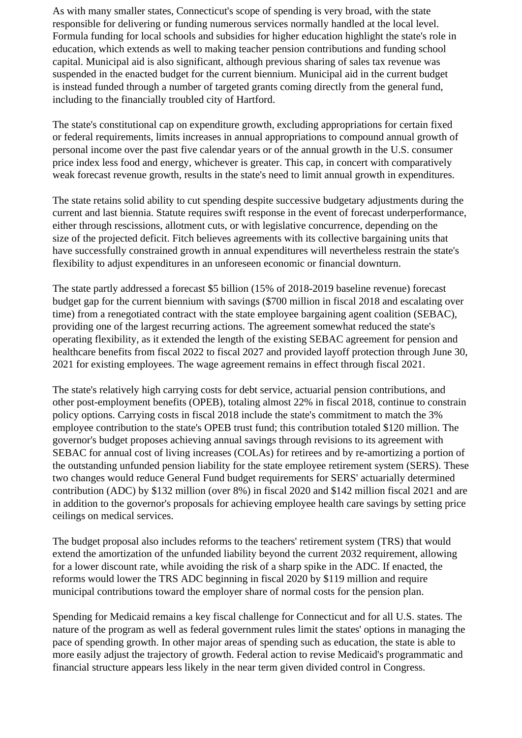As with many smaller states, Connecticut's scope of spending is very broad, with the state responsible for delivering or funding numerous services normally handled at the local level. Formula funding for local schools and subsidies for higher education highlight the state's role in education, which extends as well to making teacher pension contributions and funding school capital. Municipal aid is also significant, although previous sharing of sales tax revenue was suspended in the enacted budget for the current biennium. Municipal aid in the current budget is instead funded through a number of targeted grants coming directly from the general fund, including to the financially troubled city of Hartford.

 The state's constitutional cap on expenditure growth, excluding appropriations for certain fixed or federal requirements, limits increases in annual appropriations to compound annual growth of personal income over the past five calendar years or of the annual growth in the U.S. consumer price index less food and energy, whichever is greater. This cap, in concert with comparatively weak forecast revenue growth, results in the state's need to limit annual growth in expenditures.

 The state retains solid ability to cut spending despite successive budgetary adjustments during the current and last biennia. Statute requires swift response in the event of forecast underperformance, either through rescissions, allotment cuts, or with legislative concurrence, depending on the size of the projected deficit. Fitch believes agreements with its collective bargaining units that have successfully constrained growth in annual expenditures will nevertheless restrain the state's flexibility to adjust expenditures in an unforeseen economic or financial downturn.

 The state partly addressed a forecast \$5 billion (15% of 2018-2019 baseline revenue) forecast budget gap for the current biennium with savings (\$700 million in fiscal 2018 and escalating over time) from a renegotiated contract with the state employee bargaining agent coalition (SEBAC), providing one of the largest recurring actions. The agreement somewhat reduced the state's operating flexibility, as it extended the length of the existing SEBAC agreement for pension and healthcare benefits from fiscal 2022 to fiscal 2027 and provided layoff protection through June 30, 2021 for existing employees. The wage agreement remains in effect through fiscal 2021.

 The state's relatively high carrying costs for debt service, actuarial pension contributions, and other post-employment benefits (OPEB), totaling almost 22% in fiscal 2018, continue to constrain policy options. Carrying costs in fiscal 2018 include the state's commitment to match the 3% employee contribution to the state's OPEB trust fund; this contribution totaled \$120 million. The governor's budget proposes achieving annual savings through revisions to its agreement with SEBAC for annual cost of living increases (COLAs) for retirees and by re-amortizing a portion of the outstanding unfunded pension liability for the state employee retirement system (SERS). These two changes would reduce General Fund budget requirements for SERS' actuarially determined contribution (ADC) by \$132 million (over 8%) in fiscal 2020 and \$142 million fiscal 2021 and are in addition to the governor's proposals for achieving employee health care savings by setting price ceilings on medical services.

 The budget proposal also includes reforms to the teachers' retirement system (TRS) that would extend the amortization of the unfunded liability beyond the current 2032 requirement, allowing for a lower discount rate, while avoiding the risk of a sharp spike in the ADC. If enacted, the reforms would lower the TRS ADC beginning in fiscal 2020 by \$119 million and require municipal contributions toward the employer share of normal costs for the pension plan.

 Spending for Medicaid remains a key fiscal challenge for Connecticut and for all U.S. states. The nature of the program as well as federal government rules limit the states' options in managing the pace of spending growth. In other major areas of spending such as education, the state is able to more easily adjust the trajectory of growth. Federal action to revise Medicaid's programmatic and financial structure appears less likely in the near term given divided control in Congress.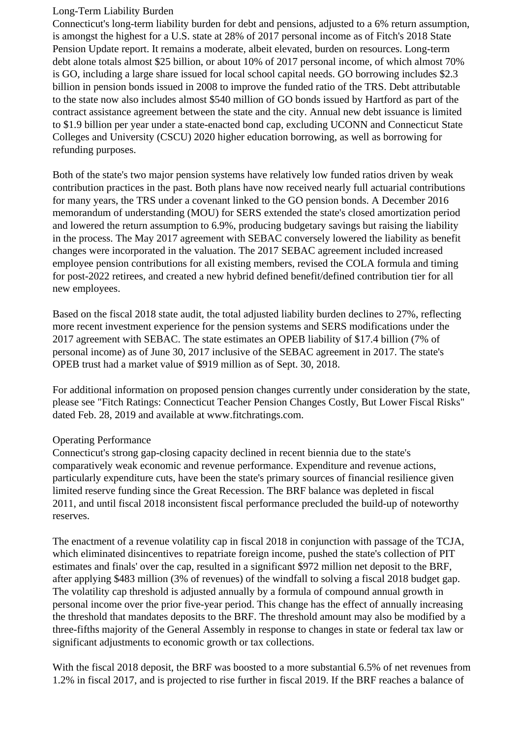#### Long-Term Liability Burden

 Connecticut's long-term liability burden for debt and pensions, adjusted to a 6% return assumption, is amongst the highest for a U.S. state at 28% of 2017 personal income as of Fitch's 2018 State Pension Update report. It remains a moderate, albeit elevated, burden on resources. Long-term debt alone totals almost \$25 billion, or about 10% of 2017 personal income, of which almost 70% is GO, including a large share issued for local school capital needs. GO borrowing includes \$2.3 billion in pension bonds issued in 2008 to improve the funded ratio of the TRS. Debt attributable to the state now also includes almost \$540 million of GO bonds issued by Hartford as part of the contract assistance agreement between the state and the city. Annual new debt issuance is limited to \$1.9 billion per year under a state-enacted bond cap, excluding UCONN and Connecticut State Colleges and University (CSCU) 2020 higher education borrowing, as well as borrowing for refunding purposes.

 Both of the state's two major pension systems have relatively low funded ratios driven by weak contribution practices in the past. Both plans have now received nearly full actuarial contributions for many years, the TRS under a covenant linked to the GO pension bonds. A December 2016 memorandum of understanding (MOU) for SERS extended the state's closed amortization period and lowered the return assumption to 6.9%, producing budgetary savings but raising the liability in the process. The May 2017 agreement with SEBAC conversely lowered the liability as benefit changes were incorporated in the valuation. The 2017 SEBAC agreement included increased employee pension contributions for all existing members, revised the COLA formula and timing for post-2022 retirees, and created a new hybrid defined benefit/defined contribution tier for all new employees.

 Based on the fiscal 2018 state audit, the total adjusted liability burden declines to 27%, reflecting more recent investment experience for the pension systems and SERS modifications under the 2017 agreement with SEBAC. The state estimates an OPEB liability of \$17.4 billion (7% of personal income) as of June 30, 2017 inclusive of the SEBAC agreement in 2017. The state's OPEB trust had a market value of \$919 million as of Sept. 30, 2018.

 For additional information on proposed pension changes currently under consideration by the state, please see "Fitch Ratings: Connecticut Teacher Pension Changes Costly, But Lower Fiscal Risks" dated Feb. 28, 2019 and available at www.fitchratings.com.

# Operating Performance

 Connecticut's strong gap-closing capacity declined in recent biennia due to the state's comparatively weak economic and revenue performance. Expenditure and revenue actions, particularly expenditure cuts, have been the state's primary sources of financial resilience given limited reserve funding since the Great Recession. The BRF balance was depleted in fiscal 2011, and until fiscal 2018 inconsistent fiscal performance precluded the build-up of noteworthy reserves.

 The enactment of a revenue volatility cap in fiscal 2018 in conjunction with passage of the TCJA, which eliminated disincentives to repatriate foreign income, pushed the state's collection of PIT estimates and finals' over the cap, resulted in a significant \$972 million net deposit to the BRF, after applying \$483 million (3% of revenues) of the windfall to solving a fiscal 2018 budget gap. The volatility cap threshold is adjusted annually by a formula of compound annual growth in personal income over the prior five-year period. This change has the effect of annually increasing the threshold that mandates deposits to the BRF. The threshold amount may also be modified by a three-fifths majority of the General Assembly in response to changes in state or federal tax law or significant adjustments to economic growth or tax collections.

 With the fiscal 2018 deposit, the BRF was boosted to a more substantial 6.5% of net revenues from 1.2% in fiscal 2017, and is projected to rise further in fiscal 2019. If the BRF reaches a balance of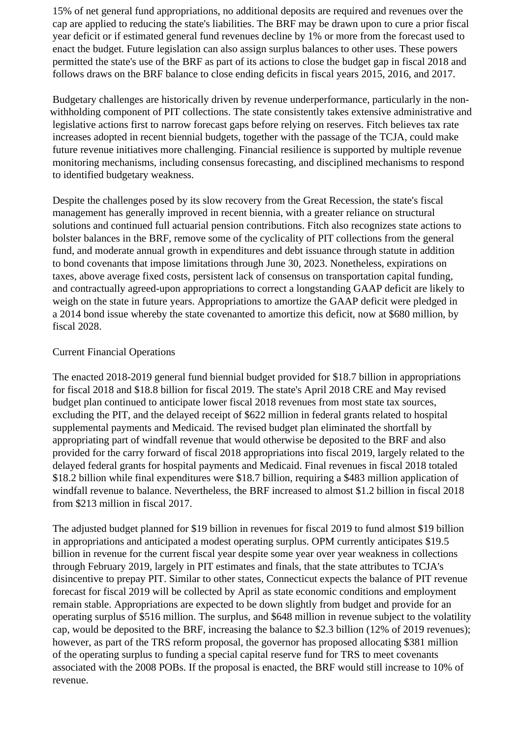15% of net general fund appropriations, no additional deposits are required and revenues over the cap are applied to reducing the state's liabilities. The BRF may be drawn upon to cure a prior fiscal year deficit or if estimated general fund revenues decline by 1% or more from the forecast used to enact the budget. Future legislation can also assign surplus balances to other uses. These powers permitted the state's use of the BRF as part of its actions to close the budget gap in fiscal 2018 and follows draws on the BRF balance to close ending deficits in fiscal years 2015, 2016, and 2017.

 Budgetary challenges are historically driven by revenue underperformance, particularly in the nonwithholding component of PIT collections. The state consistently takes extensive administrative and legislative actions first to narrow forecast gaps before relying on reserves. Fitch believes tax rate increases adopted in recent biennial budgets, together with the passage of the TCJA, could make future revenue initiatives more challenging. Financial resilience is supported by multiple revenue monitoring mechanisms, including consensus forecasting, and disciplined mechanisms to respond to identified budgetary weakness.

 Despite the challenges posed by its slow recovery from the Great Recession, the state's fiscal management has generally improved in recent biennia, with a greater reliance on structural solutions and continued full actuarial pension contributions. Fitch also recognizes state actions to bolster balances in the BRF, remove some of the cyclicality of PIT collections from the general fund, and moderate annual growth in expenditures and debt issuance through statute in addition to bond covenants that impose limitations through June 30, 2023. Nonetheless, expirations on taxes, above average fixed costs, persistent lack of consensus on transportation capital funding, and contractually agreed-upon appropriations to correct a longstanding GAAP deficit are likely to weigh on the state in future years. Appropriations to amortize the GAAP deficit were pledged in a 2014 bond issue whereby the state covenanted to amortize this deficit, now at \$680 million, by fiscal 2028.

#### Current Financial Operations

 The enacted 2018-2019 general fund biennial budget provided for \$18.7 billion in appropriations for fiscal 2018 and \$18.8 billion for fiscal 2019. The state's April 2018 CRE and May revised budget plan continued to anticipate lower fiscal 2018 revenues from most state tax sources, excluding the PIT, and the delayed receipt of \$622 million in federal grants related to hospital supplemental payments and Medicaid. The revised budget plan eliminated the shortfall by appropriating part of windfall revenue that would otherwise be deposited to the BRF and also provided for the carry forward of fiscal 2018 appropriations into fiscal 2019, largely related to the delayed federal grants for hospital payments and Medicaid. Final revenues in fiscal 2018 totaled \$18.2 billion while final expenditures were \$18.7 billion, requiring a \$483 million application of windfall revenue to balance. Nevertheless, the BRF increased to almost \$1.2 billion in fiscal 2018 from \$213 million in fiscal 2017.

 The adjusted budget planned for \$19 billion in revenues for fiscal 2019 to fund almost \$19 billion in appropriations and anticipated a modest operating surplus. OPM currently anticipates \$19.5 billion in revenue for the current fiscal year despite some year over year weakness in collections through February 2019, largely in PIT estimates and finals, that the state attributes to TCJA's disincentive to prepay PIT. Similar to other states, Connecticut expects the balance of PIT revenue forecast for fiscal 2019 will be collected by April as state economic conditions and employment remain stable. Appropriations are expected to be down slightly from budget and provide for an operating surplus of \$516 million. The surplus, and \$648 million in revenue subject to the volatility cap, would be deposited to the BRF, increasing the balance to \$2.3 billion (12% of 2019 revenues); however, as part of the TRS reform proposal, the governor has proposed allocating \$381 million of the operating surplus to funding a special capital reserve fund for TRS to meet covenants associated with the 2008 POBs. If the proposal is enacted, the BRF would still increase to 10% of revenue.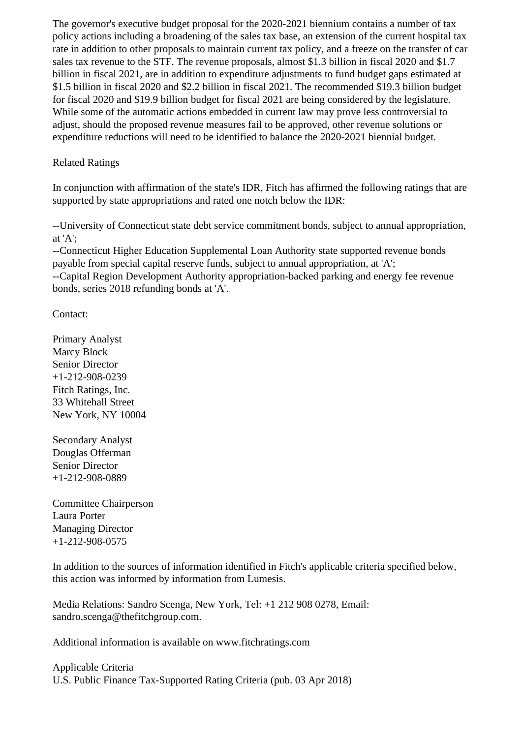The governor's executive budget proposal for the 2020-2021 biennium contains a number of tax policy actions including a broadening of the sales tax base, an extension of the current hospital tax rate in addition to other proposals to maintain current tax policy, and a freeze on the transfer of car sales tax revenue to the STF. The revenue proposals, almost \$1.3 billion in fiscal 2020 and \$1.7 billion in fiscal 2021, are in addition to expenditure adjustments to fund budget gaps estimated at \$1.5 billion in fiscal 2020 and \$2.2 billion in fiscal 2021. The recommended \$19.3 billion budget for fiscal 2020 and \$19.9 billion budget for fiscal 2021 are being considered by the legislature. While some of the automatic actions embedded in current law may prove less controversial to adjust, should the proposed revenue measures fail to be approved, other revenue solutions or expenditure reductions will need to be identified to balance the 2020-2021 biennial budget.

## Related Ratings

 In conjunction with affirmation of the state's IDR, Fitch has affirmed the following ratings that are supported by state appropriations and rated one notch below the IDR:

 --University of Connecticut state debt service commitment bonds, subject to annual appropriation, at 'A';

 --Connecticut Higher Education Supplemental Loan Authority state supported revenue bonds payable from special capital reserve funds, subject to annual appropriation, at 'A'; --Capital Region Development Authority appropriation-backed parking and energy fee revenue bonds, series 2018 refunding bonds at 'A'.

Contact:

 Primary Analyst Marcy Block Senior Director +1-212-908-0239 Fitch Ratings, Inc. 33 Whitehall Street New York, NY 10004

 Secondary Analyst Douglas Offerman Senior Director +1-212-908-0889

 Committee Chairperson Laura Porter Managing Director +1-212-908-0575

 In addition to the sources of information identified in Fitch's applicable criteria specified below, this action was informed by information from Lumesis.

 Media Relations: Sandro Scenga, New York, Tel: +1 212 908 0278, Email: sandro.scenga@thefitchgroup.com.

Additional information is available on www.fitchratings.com

 Applicable Criteria U.S. Public Finance Tax-Supported Rating Criteria (pub. 03 Apr 2018)